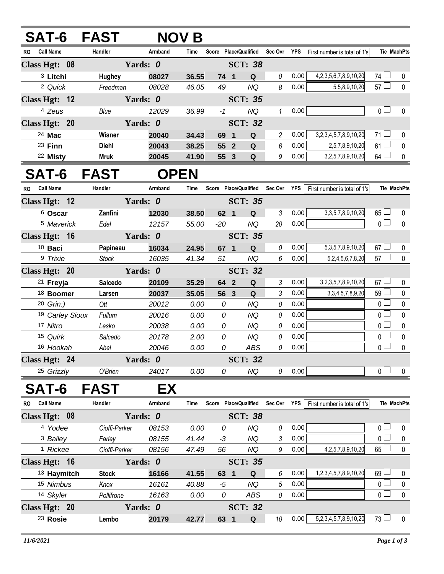## **SAT-6 FAST NOV B**

| <b>RO</b> | <b>Call Name</b>    | Handler       | Armband        | Time  | Score     | <b>Place/Qualified</b> | Sec Ovr | <b>YPS</b> | First number is total of 1's   |                       | <b>Tie MachPts</b> |
|-----------|---------------------|---------------|----------------|-------|-----------|------------------------|---------|------------|--------------------------------|-----------------------|--------------------|
|           | Class Hgt: 08       |               | Yards: 0       |       |           | <b>SCT: 38</b>         |         |            |                                |                       |                    |
|           | <sup>3</sup> Litchi | <b>Hughey</b> | 08027          | 36.55 | 74<br>- 1 | Q                      | 0       | 0.00       | 4, 2, 3, 5, 6, 7, 8, 9, 10, 20 | 74 $\Box$             | $\Omega$           |
|           | <sup>2</sup> Quick  | Freedman      | 08028          | 46.05 | 49        | NQ                     | 8       | 0.00       | 5,5,8,9,10,20                  | $57 \Box$             | $\Omega$           |
|           | Class Hgt: $12$     | Yards: 0      | <b>SCT: 35</b> |       |           |                        |         |            |                                |                       |                    |
|           | <sup>4</sup> Zeus   | Blue          | 12029          | 36.99 | -1        | NQ                     |         | 0.00       |                                | $\overline{0}$ $\Box$ | $\Omega$           |
|           | Class Hgt: 20       | Yards: 0      |                |       |           | <b>SCT: 32</b>         |         |            |                                |                       |                    |
|           | 24 Mac              | Wisner        | 20040          | 34.43 | 69<br>- 1 | Q                      | 2       | 0.00       | 3,2,3,4,5,7,8,9,10,20          | $71 \Box$             | $\Omega$           |
|           | $23$ Finn           | <b>Diehl</b>  | 20043          | 38.25 | 55 2      | Q                      | 6       | 0.00       | 2,5,7,8,9,10,20                | $61 \Box$             | $\Omega$           |
|           | 22 Misty            | <b>Mruk</b>   | 20045          | 41.90 | 55 3      | Q                      | 9       | 0.00       | 3,2,5,7,8,9,10,20              | $64 \Box$             | $\Omega$           |

## **SAT-6 FAST OPEN**

| <b>RO</b>                 | <b>Call Name</b>     |                            | Handler        |                | Armband        | <b>Time</b> | <b>Score</b> |                | <b>Place/Qualified</b> | Sec Ovr  | <b>YPS</b> | First number is total of 1's |                | <b>Tie MachPts</b> |
|---------------------------|----------------------|----------------------------|----------------|----------------|----------------|-------------|--------------|----------------|------------------------|----------|------------|------------------------------|----------------|--------------------|
|                           | Class Hgt: 12        |                            |                |                | <b>SCT: 35</b> |             |              |                |                        |          |            |                              |                |                    |
|                           | <sup>6</sup> Oscar   |                            | Zanfini        |                | 12030          | 38.50       |              | 62 1           | Q                      | 3        | 0.00       | 3, 3, 5, 7, 8, 9, 10, 20     | $65 \Box$      | $\Omega$           |
|                           | 5 Maverick           |                            | Edel           |                | 12157          | 55.00       | $-20$        |                | NQ                     | 20       | 0.00       |                              | 0 <sub>0</sub> | $\mathbf 0$        |
| Class Hgt: 16             |                      |                            |                | Yards: 0       |                |             |              |                | <b>SCT: 35</b>         |          |            |                              |                |                    |
|                           | $10$ Baci            |                            | Papineau       |                | 16034          | 24.95       | 67           | $\blacksquare$ | Q                      | 0        | 0.00       | 5, 3, 5, 7, 8, 9, 10, 20     | $67 \Box$      | $\mathbf 0$        |
|                           | 9 Trixie             |                            | Stock          |                | 16035          | 41.34       | 51           |                | NQ                     | 6        | 0.00       | 5, 2, 4, 5, 6, 7, 8, 20      | $57 \Box$      | $\mathbf 0$        |
| Yards: 0<br>Class Hgt: 20 |                      |                            |                | <b>SCT: 32</b> |                |             |              |                |                        |          |            |                              |                |                    |
|                           | <sup>21</sup> Freyja |                            | <b>Salcedo</b> |                | 20109          | 35.29       |              | 64 2           | Q                      | 3        | 0.00       | 3,2,3,5,7,8,9,10,20          | $67 \Box$      | $\mathbf{0}$       |
|                           | 18 Boomer            |                            | Larsen         |                | 20037          | 35.05       |              | 56 3           | Q                      | 3        | 0.00       | 3, 3, 4, 5, 7, 8, 9, 20      | $59$ $\Box$    | $\mathbf{0}$       |
|                           | 20 Grin:)            |                            | Ott            |                | 20012          | 0.00        |              | 0              | NQ                     | $\theta$ | 0.00       |                              | 0 <sub>0</sub> | $\mathbf{0}$       |
|                           |                      | <sup>19</sup> Carley Sioux | Fullum         |                | 20016          | 0.00        |              | 0              | NQ                     | $\theta$ | 0.00       |                              | 0 <sub>0</sub> | $\mathbf 0$        |
|                           | <sup>17</sup> Nitro  |                            | Lesko          |                | 20038          | 0.00        |              | 0              | NQ                     | $\theta$ | 0.00       |                              | 0 <sub>0</sub> | $\mathbf 0$        |
|                           | 15 Quirk             |                            | Salcedo        |                | 20178          | 2.00        |              | 0              | <b>NQ</b>              | $\theta$ | 0.00       |                              | $\overline{0}$ | $\mathbf{0}$       |
|                           | 16 Hookah            |                            | Abel           |                | 20046          | 0.00        |              | 0              | ABS                    | $\theta$ | 0.00       |                              | 0 <sub>0</sub> | $\mathbf 0$        |
|                           | Class Hgt: 24        |                            |                | Yards: 0       |                |             |              |                | <b>SCT: 32</b>         |          |            |                              |                |                    |
|                           | 25 Grizzly           |                            | O'Brien        |                | 24017          | 0.00        |              | 0              | NQ                     | 0        | 0.00       |                              | 0 <sub>0</sub> | $\mathbf{0}$       |

## **SAT-6 FAST EX**

| <b>Call Name</b><br>RO. | Handler       | Armband  | Time  | Score     | Place/Qualified | Sec Ovr  | <b>YPS</b> | First number is total of 1's |                            | <b>Tie MachPts</b> |
|-------------------------|---------------|----------|-------|-----------|-----------------|----------|------------|------------------------------|----------------------------|--------------------|
| Class Hgt: 08           |               | Yards: 0 |       |           | <b>SCT: 38</b>  |          |            |                              |                            |                    |
| 4 Yodee                 | Cioffi-Parker | 08153    | 0.00  | 0         | NQ              | $\theta$ | 0.00       |                              | $\overline{0}$             | $\Omega$           |
| <sup>3</sup> Bailey     | Farley        | 08155    | 41.44 | -3        | NQ              | 3        | 0.00       |                              |                            |                    |
| <sup>1</sup> Rickee     | Cioffi-Parker | 08156    | 47.49 | 56        | NQ              | 9        | 0.00       | 4, 2, 5, 7, 8, 9, 10, 20     | $65 \Box$                  |                    |
| Class Hgt: 16           |               | Yards: 0 |       |           | <b>SCT: 35</b>  |          |            |                              |                            |                    |
| <sup>13</sup> Haymitch  | <b>Stock</b>  | 16166    | 41.55 | 63<br>- 1 | Q               | 6        | 0.00       | 1,2,3,4,5,7,8,9,10,20        | 69<br>$\Box$               | $\Omega$           |
| 15 Nimbus               | Knox          | 16161    | 40.88 | -5        | NQ              | 5        | 0.00       |                              | $\overline{\phantom{0}}$ 0 | $\Omega$           |
| 14 Skyler               | Pollifrone    | 16163    | 0.00  | 0         | ABS             | $\theta$ | 0.00       |                              |                            |                    |
| Class Hgt: 20           |               | Yards: 0 |       |           | <b>SCT: 32</b>  |          |            |                              |                            |                    |
| 23 Rosie                | Lembo         | 20179    | 42.77 | 63        | Q               | 10       | 0.00       | 5,2,3,4,5,7,8,9,10,20        | $73\Box$                   |                    |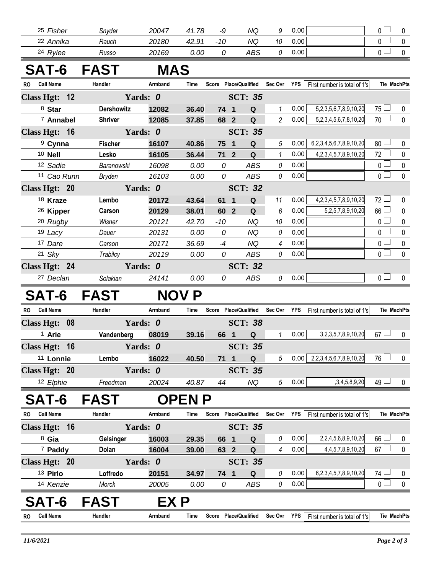|           | 25 Fisher            | Snyder                 | 20047      | 41.78        | -9           | NQ                                     | 9               | 0.00        |                                  | 0 <sup>1</sup>  | 0           |
|-----------|----------------------|------------------------|------------|--------------|--------------|----------------------------------------|-----------------|-------------|----------------------------------|-----------------|-------------|
|           | 22 Annika            | Rauch                  | 20180      | 42.91        | $-10$        | <b>NQ</b>                              | 10              | 0.00        |                                  | $\mathbf 0$     | $\mathbf 0$ |
|           | <sup>24</sup> Rylee  | Russo                  | 20169      | 0.00         | 0            | ABS                                    | 0               | 0.00        |                                  | 0 <sup>1</sup>  | $\mathbf 0$ |
|           |                      | SAT-6 FAST             | <b>MAS</b> |              |              |                                        |                 |             |                                  |                 |             |
| RO.       | <b>Call Name</b>     | Handler                | Armband    | Time         |              | Score Place/Qualified                  |                 | Sec Ovr YPS | First number is total of 1's     |                 | Tie MachPts |
|           | Class Hgt: 12        |                        | Yards: 0   |              |              | <b>SCT: 35</b>                         |                 |             |                                  |                 |             |
|           | 8 Star               | <b>Dershowitz</b>      | 12082      | 36.40        | 74 1         | Q                                      | 1               | 0.00        | 5,2,3,5,6,7,8,9,10,20            | $75\Box$        | 0           |
|           | <sup>7</sup> Annabel | <b>Shriver</b>         | 12085      | 37.85        | 68 2         | $\mathbf Q$                            | $\overline{2}$  | 0.00        | 5,2,3,4,5,6,7,8,10,20            | $70$ $\Box$     | $\pmb{0}$   |
|           | Class Hgt: 16        |                        | Yards: 0   |              |              | <b>SCT: 35</b>                         |                 |             |                                  |                 |             |
|           | <sup>9</sup> Cynna   | <b>Fischer</b>         | 16107      | 40.86        | 75           | $\mathbf Q$<br>$\overline{\mathbf{1}}$ | 5               | 0.00        | 6,2,3,4,5,6,7,8,9,10,20          | 80 <sup>1</sup> | 0           |
|           | 10 <b>Nell</b>       | Lesko                  | 16105      | 36.44        | $712$        | Q                                      | $\mathcal I$    | 0.00        | 4, 2, 3, 4, 5, 7, 8, 9, 10, 20   | 72              | $\pmb{0}$   |
|           | 12 Sadie             | Baranowski             | 16098      | 0.00         | 0            | <b>ABS</b>                             | 0               | 0.00        |                                  | $\overline{0}$  | $\pmb{0}$   |
|           | 11 Cao Runn          | <b>Bryden</b>          | 16103      | 0.00         | 0            | <b>ABS</b>                             | 0               | 0.00        |                                  | 0 L             | $\pmb{0}$   |
|           | Class Hgt: 20        |                        | Yards: 0   |              |              | <b>SCT: 32</b>                         |                 |             |                                  |                 |             |
|           | 18 Kraze             | Lembo                  | 20172      | 43.64        | 61           | $\mathbf 1$<br>Q                       | 11              | 0.00        | 4, 2, 3, 4, 5, 7, 8, 9, 10, 20   | $72 \Box$       | 0           |
|           | <sup>26</sup> Kipper | Carson                 | 20129      | 38.01        | 60           | $\overline{2}$<br>Q                    | 6               | 0.00        | 5,2,5,7,8,9,10,20                | 66              | 0           |
|           | <sup>20</sup> Rugby  | Wisner                 | 20121      | 42.70        | $-10$        | <b>NQ</b>                              | 10              | 0.00        |                                  | $\overline{0}$  | $\pmb{0}$   |
|           | 19 Lacy              | Dauer                  | 20131      | 0.00         | 0            | <b>NQ</b>                              | 0               | 0.00        |                                  | $\mathbf 0$     | $\pmb{0}$   |
|           | 17 Dare              | Carson                 | 20171      | 36.69        | $-4$         | <b>NQ</b>                              | 4               | 0.00        |                                  | $\mathbf{0}$    | $\pmb{0}$   |
|           | $21$ Sky             | Trabilcy               | 20119      | 0.00         | 0            | <b>ABS</b>                             | 0               | 0.00        |                                  | 0 <sup>1</sup>  | $\pmb{0}$   |
|           | Class Hgt: 24        |                        | Yards: 0   |              |              | <b>SCT: 32</b>                         |                 |             |                                  |                 |             |
|           | <sup>27</sup> Declan | Solakian               | 24141      | 0.00         | 0            | ABS                                    | 0               | 0.00        |                                  | 0 <sub>l</sub>  | 0           |
|           | <b>SAT-6</b>         | FAST                   |            | <b>NOV P</b> |              |                                        |                 |             |                                  |                 |             |
| <b>RO</b> | <b>Call Name</b>     | Handler                | Armband    | Time         |              | Score Place/Qualified                  |                 | Sec Ovr YPS | First number is total of 1's     |                 | Tie MachPts |
|           | Class Hgt: 08        |                        | Yards: 0   |              |              | <b>SCT: 38</b>                         |                 |             |                                  |                 |             |
|           | <sup>1</sup> Arie    | Vandenberg             | 08019      | 39.16        | 66 1         | $\mathbf Q$                            | $\mathbf{1}$    | 0.00        | 3, 2, 3, 5, 7, 8, 9, 10, 20      | $67 \Box$       | $\mathbf 0$ |
|           |                      | Class Hgt: 16 Yards: 0 |            |              |              | <b>SCT: 35</b>                         |                 |             |                                  |                 |             |
|           | 11 Lonnie            | Lembo                  | 16022      | 40.50        | $71 \quad 1$ | $\mathbf Q$                            | $5^{\circ}$     |             | $0.00$   2,2,3,4,5,6,7,8,9,10,20 | $76 \Box$       | 0           |
|           | Class Hgt: 20        |                        | Yards: 0   |              |              | <b>SCT: 35</b>                         |                 |             |                                  |                 |             |
|           | 12 Elphie            | Freedman               | 20024      | 40.87        | 44           | NQ                                     | $5\overline{)}$ | 0.00        | ,3,4,5,8,9,20                    | $49 \Box$       | 0           |
|           | <b>SAT-6</b>         | <b>FAST</b>            |            | <b>OPENP</b> |              |                                        |                 |             |                                  |                 |             |
| <b>RO</b> | <b>Call Name</b>     | Handler                | Armband    | Time         |              | Score Place/Qualified                  |                 | Sec Ovr YPS | First number is total of 1's     |                 | Tie MachPts |
|           | Class Hgt: 16        |                        | Yards: 0   |              |              | <b>SCT: 35</b>                         |                 |             |                                  |                 |             |
|           | 8 Gia                | <b>Gelsinger</b>       | 16003      | 29.35        | 66 1         | Q                                      | 0               | 0.00        | 2,2,4,5,6,8,9,10,20              | $66 \Box$       | 0           |
|           | <sup>7</sup> Paddy   | Dolan                  | 16004      | 39.00        | 63 2         | $\mathbf Q$                            | 4               | 0.00        | 4, 4, 5, 7, 8, 9, 10, 20         | $67 \Box$       | $\pmb{0}$   |
|           | Class Hgt: 20        |                        | Yards: 0   |              |              | <b>SCT: 35</b>                         |                 |             |                                  |                 |             |
|           | 13 Pirlo             | Loffredo               | 20151      | 34.97        | 74 1         | $\mathbf Q$                            | $\it{0}$        | 0.00        | 6,2,3,4,5,7,8,9,10,20            | $74$ $\Box$     | 0           |
|           | 14 Kenzie            | Morck                  | 20005      | 0.00         | 0            | ABS                                    | 0               | 0.00        |                                  | $\overline{0}$  | $\pmb{0}$   |
|           | <b>SAT-6</b>         | <b>FAST</b>            | EX P       |              |              |                                        |                 |             |                                  |                 |             |
| <b>RO</b> | <b>Call Name</b>     | Handler                | Armband    | Time         |              | Score Place/Qualified                  |                 | Sec Ovr YPS | First number is total of 1's     |                 | Tie MachPts |